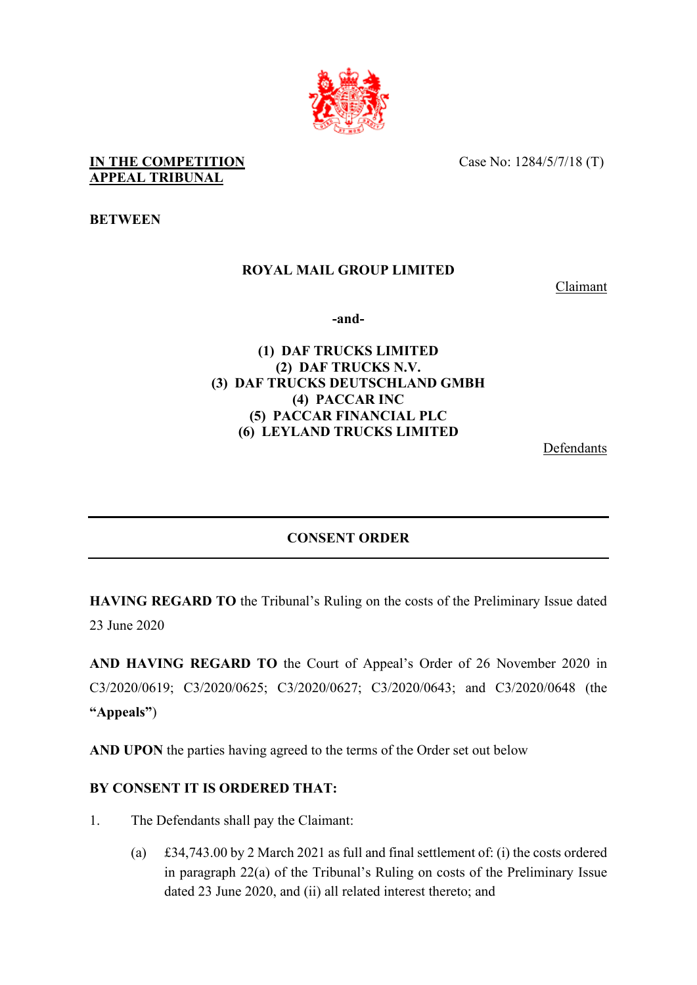

**IN THE COMPETITION APPEAL TRIBUNAL** 

Case No: 1284/5/7/18 (T)

**BETWEEN**

## **ROYAL MAIL GROUP LIMITED**

Claimant

**-and-** 

## **(1) DAF TRUCKS LIMITED (2) DAF TRUCKS N.V. (3) DAF TRUCKS DEUTSCHLAND GMBH (4) PACCAR INC (5) PACCAR FINANCIAL PLC (6) LEYLAND TRUCKS LIMITED**

**Defendants** 

## **CONSENT ORDER**

**HAVING REGARD TO** the Tribunal's Ruling on the costs of the Preliminary Issue dated 23 June 2020

**AND HAVING REGARD TO** the Court of Appeal's Order of 26 November 2020 in C3/2020/0619; C3/2020/0625; C3/2020/0627; C3/2020/0643; and C3/2020/0648 (the **"Appeals"**)

**AND UPON** the parties having agreed to the terms of the Order set out below

## **BY CONSENT IT IS ORDERED THAT:**

- 1. The Defendants shall pay the Claimant:
	- (a) £34,743.00 by 2 March 2021 as full and final settlement of: (i) the costs ordered in paragraph 22(a) of the Tribunal's Ruling on costs of the Preliminary Issue dated 23 June 2020, and (ii) all related interest thereto; and